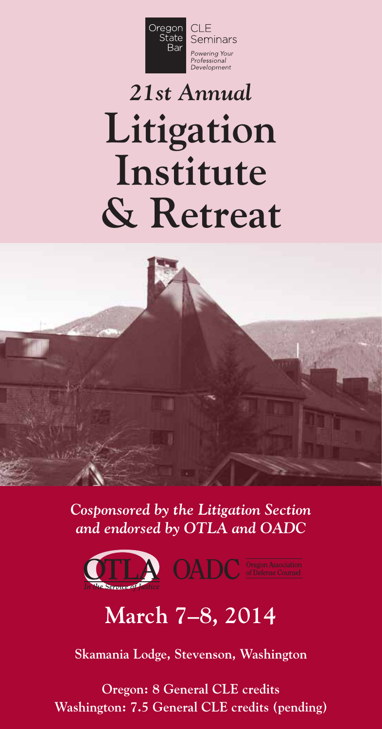

# *21st Annual* **Litigation Institute & Retreat**

*Cosponsored by the Litigation Section and endorsed by OTLA and OADC*



# **March 7–8, 2014**

**Skamania Lodge, Stevenson, Washington**

**Oregon: 8 General CLE credits Washington: 7.5 General CLE credits (pending)**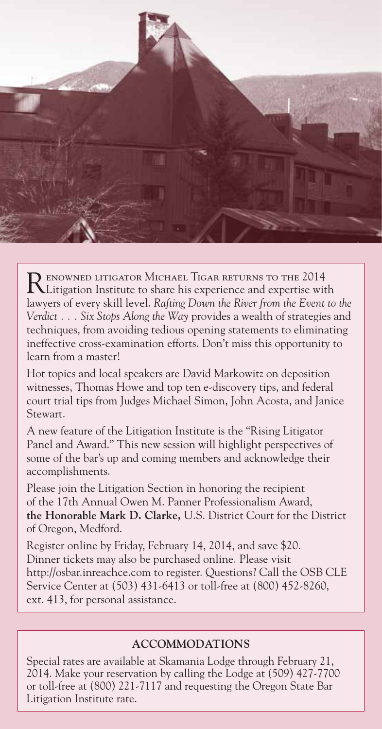

RENOWNED LITIGATOR MICHAEL TIGAR RETURNS TO THE 2014<br>Litigation Institute to share his experience and expertise with lawyers of every skill level. *Rafting Down the River from the Event to the Verdict . . . Six Stops Along the Way* provides a wealth of strategies and techniques, from avoiding tedious opening statements to eliminating ineffective cross-examination efforts. Don't miss this opportunity to learn from a master!

Hot topics and local speakers are David Markowitz on deposition witnesses, Thomas Howe and top ten e-discovery tips, and federal court trial tips from Judges Michael Simon, John Acosta, and Janice Stewart.

A new feature of the Litigation Institute is the "Rising Litigator Panel and Award." This new session will highlight perspectives of some of the bar's up and coming members and acknowledge their accomplishments.

Please join the Litigation Section in honoring the recipient of the 17th Annual Owen M. Panner Professionalism Award, **the Honorable Mark D. Clarke,** U.S. District Court for the District of Oregon, Medford.

Register online by Friday, February 14, 2014, and save \$20. Dinner tickets may also be purchased online. Please visit http://osbar.inreachce.com to register. Questions? Call the OSB CLE Service Center at (503) 431-6413 or toll-free at (800) 452-8260, ext. 413, for personal assistance.

### **ACCOMMODATIONS**

Special rates are available at Skamania Lodge through February 21, 2014. Make your reservation by calling the Lodge at (509) 427-7700 or toll-free at (800) 221-7117 and requesting the Oregon State Bar Litigation Institute rate.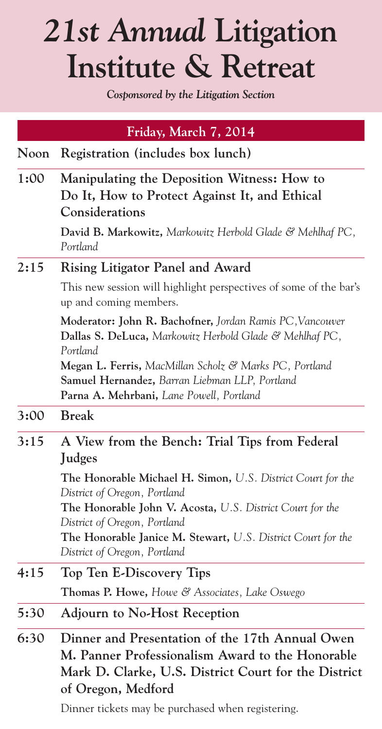# *21st Annual* **Litigation Institute & Retreat**

*Cosponsored by the Litigation Section*

| Manipulating the Deposition Witness: How to<br>Do It, How to Protect Against It, and Ethical<br>David B. Markowitz, Markowitz Herbold Glade & Mehlhaf PC,<br>This new session will highlight perspectives of some of the bar's |
|--------------------------------------------------------------------------------------------------------------------------------------------------------------------------------------------------------------------------------|
|                                                                                                                                                                                                                                |
|                                                                                                                                                                                                                                |
|                                                                                                                                                                                                                                |
|                                                                                                                                                                                                                                |
|                                                                                                                                                                                                                                |
| Moderator: John R. Bachofner, Jordan Ramis PC, Vancouver<br>Dallas S. DeLuca, Markowitz Herbold Glade & Mehlhaf PC,                                                                                                            |
| <b>Megan L. Ferris,</b> MacMillan Scholz & Marks PC, Portland                                                                                                                                                                  |
|                                                                                                                                                                                                                                |
|                                                                                                                                                                                                                                |
|                                                                                                                                                                                                                                |
| A View from the Bench: Trial Tips from Federal                                                                                                                                                                                 |
| The Honorable Michael H. Simon, U.S. District Court for the<br><b>The Honorable John V. Acosta, U.S. District Court for the</b>                                                                                                |
| <b>The Honorable Janice M. Stewart, U.S. District Court for the</b>                                                                                                                                                            |
|                                                                                                                                                                                                                                |
|                                                                                                                                                                                                                                |
|                                                                                                                                                                                                                                |
| Dinner and Presentation of the 17th Annual Owen<br>M. Panner Professionalism Award to the Honorable<br>Mark D. Clarke, U.S. District Court for the District                                                                    |
|                                                                                                                                                                                                                                |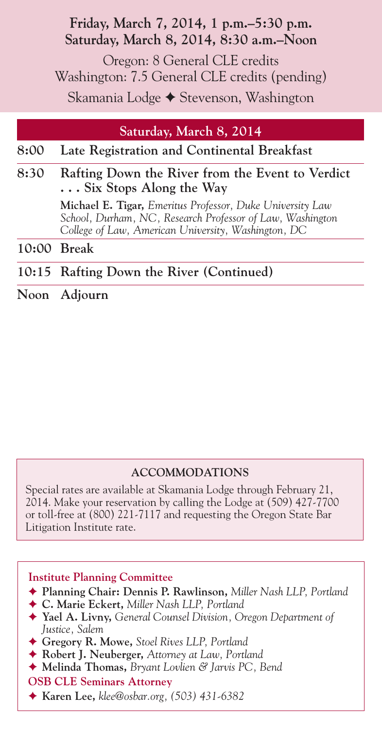# **Friday, March 7, 2014, 1 p.m.–5:30 p.m. Saturday, March 8, 2014, 8:30 a.m.–Noon**

Oregon: 8 General CLE credits Washington: 7.5 General CLE credits (pending) Skamania Lodge ◆ Stevenson, Washington

# **Saturday, March 8, 2014**

# **8:00 Late Registration and Continental Breakfast**

### **8:30 Rafting Down the River from the Event to Verdict . . . Six Stops Along the Way**

**Michael E. Tigar,** *Emeritus Professor, Duke University Law School, Durham, NC, Research Professor of Law, Washington College of Law, American University, Washington, DC*

**10:00 Break**

# **10:15 Rafting Down the River (Continued)**

**Noon Adjourn**

## **ACCOMMODATIONS**

Special rates are available at Skamania Lodge through February 21, 2014. Make your reservation by calling the Lodge at (509) 427-7700 or toll-free at (800) 221-7117 and requesting the Oregon State Bar Litigation Institute rate.

#### **Institute Planning Committee**

- ◆ Planning Chair: Dennis P. Rawlinson, Miller Nash LLP, Portland
- ◆ C. Marie Eckert, Miller Nash LLP, Portland
- F **Yael A. Livny,** *General Counsel Division, Oregon Department of Justice, Salem*
- F **Gregory R. Mowe,** *Stoel Rives LLP, Portland*
- F **Robert J. Neuberger,** *Attorney at Law, Portland*
- ◆ **Melinda Thomas,** *Bryant Lovlien & Jarvis PC*, *Bend*
- **OSB CLE Seminars Attorney**
- F **Karen Lee,** *klee@osbar.org, (503) 431-6382*